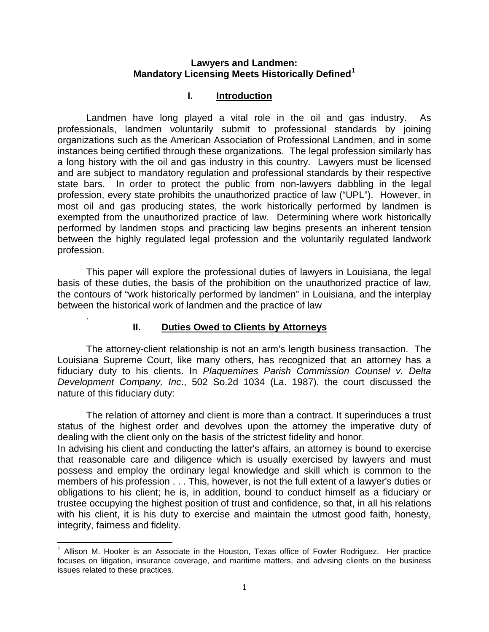### **Lawyers and Landmen: Mandatory Licensing Meets Historically Defined[1](#page-0-0)**

## **I. Introduction**

Landmen have long played a vital role in the oil and gas industry. As professionals, landmen voluntarily submit to professional standards by joining organizations such as the American Association of Professional Landmen, and in some instances being certified through these organizations. The legal profession similarly has a long history with the oil and gas industry in this country. Lawyers must be licensed and are subject to mandatory regulation and professional standards by their respective state bars. In order to protect the public from non-lawyers dabbling in the legal profession, every state prohibits the unauthorized practice of law ("UPL"). However, in most oil and gas producing states, the work historically performed by landmen is exempted from the unauthorized practice of law. Determining where work historically performed by landmen stops and practicing law begins presents an inherent tension between the highly regulated legal profession and the voluntarily regulated landwork profession.

This paper will explore the professional duties of lawyers in Louisiana, the legal basis of these duties, the basis of the prohibition on the unauthorized practice of law, the contours of "work historically performed by landmen" in Louisiana, and the interplay between the historical work of landmen and the practice of law

## **II. Duties Owed to Clients by Attorneys**

.

 $\overline{\phantom{0}}$ 

The attorney-client relationship is not an arm's length business transaction. The Louisiana Supreme Court, like many others, has recognized that an attorney has a fiduciary duty to his clients. In *Plaquemines Parish Commission Counsel v. Delta Development Company, Inc*., 502 So.2d 1034 (La. 1987), the court discussed the nature of this fiduciary duty:

The relation of attorney and client is more than a contract. It superinduces a trust status of the highest order and devolves upon the attorney the imperative duty of dealing with the client only on the basis of the strictest fidelity and honor.

In advising his client and conducting the latter's affairs, an attorney is bound to exercise that reasonable care and diligence which is usually exercised by lawyers and must possess and employ the ordinary legal knowledge and skill which is common to the members of his profession . . . This, however, is not the full extent of a lawyer's duties or obligations to his client; he is, in addition, bound to conduct himself as a fiduciary or trustee occupying the highest position of trust and confidence, so that, in all his relations with his client, it is his duty to exercise and maintain the utmost good faith, honesty, integrity, fairness and fidelity.

<span id="page-0-0"></span> $<sup>1</sup>$  Allison M. Hooker is an Associate in the Houston, Texas office of Fowler Rodriguez. Her practice</sup> focuses on litigation, insurance coverage, and maritime matters, and advising clients on the business issues related to these practices.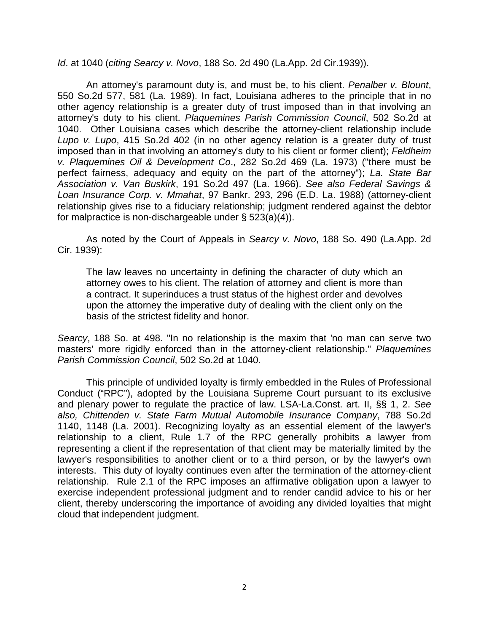*Id*. at 1040 (*citing Searcy v. Novo*, 188 So. 2d 490 (La.App. 2d Cir.1939)).

An attorney's paramount duty is, and must be, to his client. *Penalber v. Blount*, 550 So.2d 577, 581 (La. 1989). In fact, Louisiana adheres to the principle that in no other agency relationship is a greater duty of trust imposed than in that involving an attorney's duty to his client. *Plaquemines Parish Commission Council*, 502 So.2d at 1040. Other Louisiana cases which describe the attorney-client relationship include *Lupo v. Lupo*, 415 So.2d 402 (in no other agency relation is a greater duty of trust imposed than in that involving an attorney's duty to his client or former client); *Feldheim v. Plaquemines Oil & Development Co*., 282 So.2d 469 (La. 1973) ("there must be perfect fairness, adequacy and equity on the part of the attorney"); *La. State Bar Association v. Van Buskirk*, 191 So.2d 497 (La. 1966). *See also Federal Savings & Loan Insurance Corp. v. Mmahat*, 97 Bankr. 293, 296 (E.D. La. 1988) (attorney-client relationship gives rise to a fiduciary relationship; judgment rendered against the debtor for malpractice is non-dischargeable under § 523(a)(4)).

As noted by the Court of Appeals in *Searcy v. Novo*, 188 So. 490 (La.App. 2d Cir. 1939):

The law leaves no uncertainty in defining the character of duty which an attorney owes to his client. The relation of attorney and client is more than a contract. It superinduces a trust status of the highest order and devolves upon the attorney the imperative duty of dealing with the client only on the basis of the strictest fidelity and honor.

*Searcy*, 188 So. at 498. "In no relationship is the maxim that 'no man can serve two masters' more rigidly enforced than in the attorney-client relationship." *Plaquemines Parish Commission Council*, 502 So.2d at 1040.

This principle of undivided loyalty is firmly embedded in the Rules of Professional Conduct ("RPC"), adopted by the Louisiana Supreme Court pursuant to its exclusive and plenary power to regulate the practice of law. LSA-La.Const. art. II, §§ 1, 2. *See also, Chittenden v. State Farm Mutual Automobile Insurance Company*, 788 So.2d 1140, 1148 (La. 2001). Recognizing loyalty as an essential element of the lawyer's relationship to a client, Rule 1.7 of the RPC generally prohibits a lawyer from representing a client if the representation of that client may be materially limited by the lawyer's responsibilities to another client or to a third person, or by the lawyer's own interests. This duty of loyalty continues even after the termination of the attorney-client relationship. Rule 2.1 of the RPC imposes an affirmative obligation upon a lawyer to exercise independent professional judgment and to render candid advice to his or her client, thereby underscoring the importance of avoiding any divided loyalties that might cloud that independent judgment.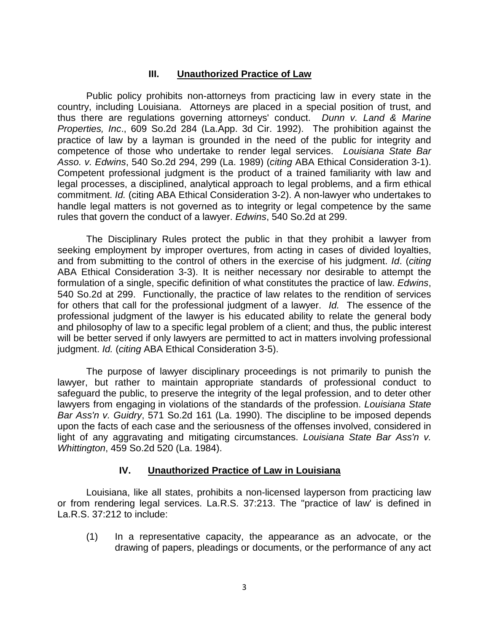## **III. Unauthorized Practice of Law**

Public policy prohibits non-attorneys from practicing law in every state in the country, including Louisiana. Attorneys are placed in a special position of trust, and thus there are regulations governing attorneys' conduct. *Dunn v. Land & Marine Properties, Inc*., 609 So.2d 284 (La.App. 3d Cir. 1992). The prohibition against the practice of law by a layman is grounded in the need of the public for integrity and competence of those who undertake to render legal services. *Louisiana State Bar Asso. v. Edwins*, 540 So.2d 294, 299 (La. 1989) (*citing* ABA Ethical Consideration 3-1). Competent professional judgment is the product of a trained familiarity with law and legal processes, a disciplined, analytical approach to legal problems, and a firm ethical commitment. *Id.* (citing ABA Ethical Consideration 3-2). A non-lawyer who undertakes to handle legal matters is not governed as to integrity or legal competence by the same rules that govern the conduct of a lawyer. *Edwins*, 540 So.2d at 299.

The Disciplinary Rules protect the public in that they prohibit a lawyer from seeking employment by improper overtures, from acting in cases of divided loyalties, and from submitting to the control of others in the exercise of his judgment. *Id*. (*citing* ABA Ethical Consideration 3-3). It is neither necessary nor desirable to attempt the formulation of a single, specific definition of what constitutes the practice of law. *Edwins*, 540 So.2d at 299. Functionally, the practice of law relates to the rendition of services for others that call for the professional judgment of a lawyer. *Id.* The essence of the professional judgment of the lawyer is his educated ability to relate the general body and philosophy of law to a specific legal problem of a client; and thus, the public interest will be better served if only lawyers are permitted to act in matters involving professional judgment. *Id.* (*citing* ABA Ethical Consideration 3-5).

The purpose of lawyer disciplinary proceedings is not primarily to punish the lawyer, but rather to maintain appropriate standards of professional conduct to safeguard the public, to preserve the integrity of the legal profession, and to deter other lawyers from engaging in violations of the standards of the profession. *Louisiana State Bar Ass'n v. Guidry*, 571 So.2d 161 (La. 1990). The discipline to be imposed depends upon the facts of each case and the seriousness of the offenses involved, considered in light of any aggravating and mitigating circumstances. *Louisiana State Bar Ass'n v. Whittington*, 459 So.2d 520 (La. 1984).

# **IV. Unauthorized Practice of Law in Louisiana**

Louisiana, like all states, prohibits a non-licensed layperson from practicing law or from rendering legal services. La.R.S. 37:213. The "practice of law' is defined in La.R.S. 37:212 to include:

(1) In a representative capacity, the appearance as an advocate, or the drawing of papers, pleadings or documents, or the performance of any act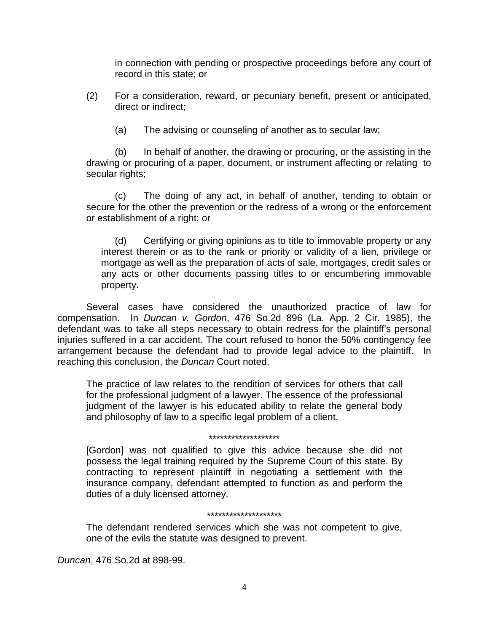in connection with pending or prospective proceedings before any court of record in this state; or

- (2) For a consideration, reward, or pecuniary benefit, present or anticipated, direct or indirect;
	- (a) The advising or counseling of another as to secular law;

(b) In behalf of another, the drawing or procuring, or the assisting in the drawing or procuring of a paper, document, or instrument affecting or relating to secular rights;

(c) The doing of any act, in behalf of another, tending to obtain or secure for the other the prevention or the redress of a wrong or the enforcement or establishment of a right; or

(d) Certifying or giving opinions as to title to immovable property or any interest therein or as to the rank or priority or validity of a lien, privilege or mortgage as well as the preparation of acts of sale, mortgages, credit sales or any acts or other documents passing titles to or encumbering immovable property.

Several cases have considered the unauthorized practice of law for compensation. In *Duncan v. Gordon*, 476 So.2d 896 (La. App. 2 Cir. 1985), the defendant was to take all steps necessary to obtain redress for the plaintiff's personal injuries suffered in a car accident. The court refused to honor the 50% contingency fee arrangement because the defendant had to provide legal advice to the plaintiff. In reaching this conclusion, the *Duncan* Court noted,

The practice of law relates to the rendition of services for others that call for the professional judgment of a lawyer. The essence of the professional judgment of the lawyer is his educated ability to relate the general body and philosophy of law to a specific legal problem of a client.

#### \*\*\*\*\*\*\*\*\*\*\*\*\*\*\*\*\*\*\*

[Gordon] was not qualified to give this advice because she did not possess the legal training required by the Supreme Court of this state. By contracting to represent plaintiff in negotiating a settlement with the insurance company, defendant attempted to function as and perform the duties of a duly licensed attorney.

#### \*\*\*\*\*\*\*\*\*\*\*\*\*\*\*\*\*\*\*\*

The defendant rendered services which she was not competent to give, one of the evils the statute was designed to prevent.

*Duncan*, 476 So.2d at 898-99.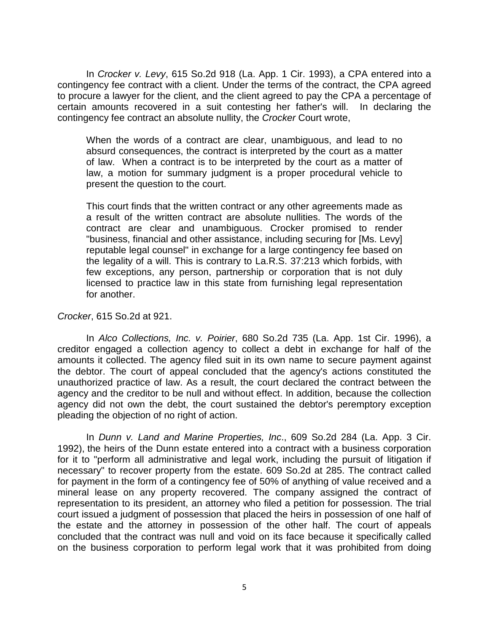In *Crocker v. Levy*, 615 So.2d 918 (La. App. 1 Cir. 1993), a CPA entered into a contingency fee contract with a client. Under the terms of the contract, the CPA agreed to procure a lawyer for the client, and the client agreed to pay the CPA a percentage of certain amounts recovered in a suit contesting her father's will. In declaring the contingency fee contract an absolute nullity, the *Crocker* Court wrote,

When the words of a contract are clear, unambiguous, and lead to no absurd consequences, the contract is interpreted by the court as a matter of law. When a contract is to be interpreted by the court as a matter of law, a motion for summary judgment is a proper procedural vehicle to present the question to the court.

This court finds that the written contract or any other agreements made as a result of the written contract are absolute nullities. The words of the contract are clear and unambiguous. Crocker promised to render "business, financial and other assistance, including securing for [Ms. Levy] reputable legal counsel" in exchange for a large contingency fee based on the legality of a will. This is contrary to La.R.S. 37:213 which forbids, with few exceptions, any person, partnership or corporation that is not duly licensed to practice law in this state from furnishing legal representation for another.

### *Crocker*, 615 So.2d at 921.

In *Alco Collections, Inc. v. Poirier*, 680 So.2d 735 (La. App. 1st Cir. 1996), a creditor engaged a collection agency to collect a debt in exchange for half of the amounts it collected. The agency filed suit in its own name to secure payment against the debtor. The court of appeal concluded that the agency's actions constituted the unauthorized practice of law. As a result, the court declared the contract between the agency and the creditor to be null and without effect. In addition, because the collection agency did not own the debt, the court sustained the debtor's peremptory exception pleading the objection of no right of action.

In *Dunn v. Land and Marine Properties, Inc*., 609 So.2d 284 (La. App. 3 Cir. 1992), the heirs of the Dunn estate entered into a contract with a business corporation for it to "perform all administrative and legal work, including the pursuit of litigation if necessary" to recover property from the estate. 609 So.2d at 285. The contract called for payment in the form of a contingency fee of 50% of anything of value received and a mineral lease on any property recovered. The company assigned the contract of representation to its president, an attorney who filed a petition for possession. The trial court issued a judgment of possession that placed the heirs in possession of one half of the estate and the attorney in possession of the other half. The court of appeals concluded that the contract was null and void on its face because it specifically called on the business corporation to perform legal work that it was prohibited from doing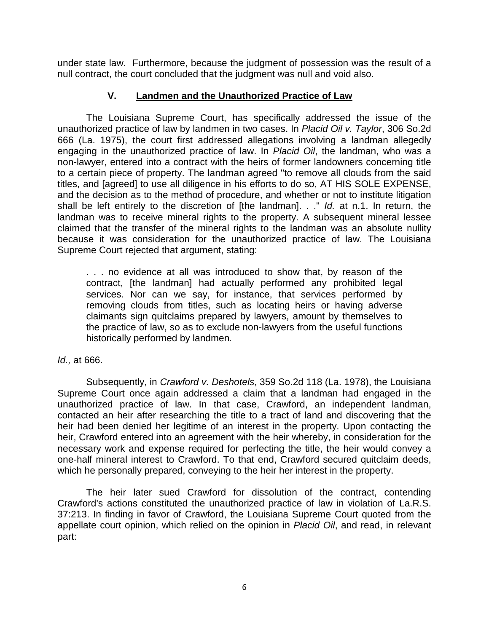under state law. Furthermore, because the judgment of possession was the result of a null contract, the court concluded that the judgment was null and void also.

## **V. Landmen and the Unauthorized Practice of Law**

The Louisiana Supreme Court, has specifically addressed the issue of the unauthorized practice of law by landmen in two cases. In *Placid Oil v. Taylor*, 306 So.2d 666 (La. 1975), the court first addressed allegations involving a landman allegedly engaging in the unauthorized practice of law. In *Placid Oil*, the landman, who was a non-lawyer, entered into a contract with the heirs of former landowners concerning title to a certain piece of property. The landman agreed "to remove all clouds from the said titles, and [agreed] to use all diligence in his efforts to do so, AT HIS SOLE EXPENSE, and the decision as to the method of procedure, and whether or not to institute litigation shall be left entirely to the discretion of [the landman]. . ." *Id.* at n.1. In return, the landman was to receive mineral rights to the property. A subsequent mineral lessee claimed that the transfer of the mineral rights to the landman was an absolute nullity because it was consideration for the unauthorized practice of law. The Louisiana Supreme Court rejected that argument, stating:

. . . no evidence at all was introduced to show that, by reason of the contract, [the landman] had actually performed any prohibited legal services. Nor can we say, for instance, that services performed by removing clouds from titles, such as locating heirs or having adverse claimants sign quitclaims prepared by lawyers, amount by themselves to the practice of law, so as to exclude non-lawyers from the useful functions historically performed by landmen*.* 

## *Id.,* at 666.

Subsequently, in *Crawford v. Deshotels*, 359 So.2d 118 (La. 1978), the Louisiana Supreme Court once again addressed a claim that a landman had engaged in the unauthorized practice of law. In that case, Crawford, an independent landman, contacted an heir after researching the title to a tract of land and discovering that the heir had been denied her legitime of an interest in the property. Upon contacting the heir, Crawford entered into an agreement with the heir whereby, in consideration for the necessary work and expense required for perfecting the title, the heir would convey a one-half mineral interest to Crawford. To that end, Crawford secured quitclaim deeds, which he personally prepared, conveying to the heir her interest in the property.

The heir later sued Crawford for dissolution of the contract, contending Crawford's actions constituted the unauthorized practice of law in violation of La.R.S. 37:213. In finding in favor of Crawford, the Louisiana Supreme Court quoted from the appellate court opinion, which relied on the opinion in *Placid Oil*, and read, in relevant part: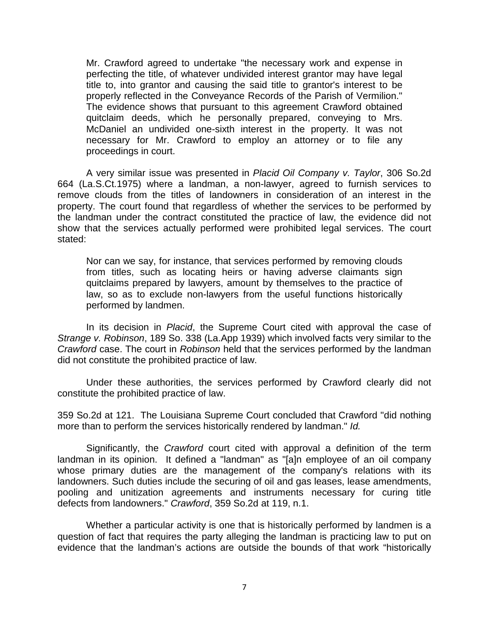Mr. Crawford agreed to undertake "the necessary work and expense in perfecting the title, of whatever undivided interest grantor may have legal title to, into grantor and causing the said title to grantor's interest to be properly reflected in the Conveyance Records of the Parish of Vermilion." The evidence shows that pursuant to this agreement Crawford obtained quitclaim deeds, which he personally prepared, conveying to Mrs. McDaniel an undivided one-sixth interest in the property. It was not necessary for Mr. Crawford to employ an attorney or to file any proceedings in court.

A very similar issue was presented in *Placid Oil Company v. Taylor*, 306 So.2d 664 (La.S.Ct.1975) where a landman, a non-lawyer, agreed to furnish services to remove clouds from the titles of landowners in consideration of an interest in the property. The court found that regardless of whether the services to be performed by the landman under the contract constituted the practice of law, the evidence did not show that the services actually performed were prohibited legal services. The court stated:

Nor can we say, for instance, that services performed by removing clouds from titles, such as locating heirs or having adverse claimants sign quitclaims prepared by lawyers, amount by themselves to the practice of law, so as to exclude non-lawyers from the useful functions historically performed by landmen.

In its decision in *Placid*, the Supreme Court cited with approval the case of *Strange v. Robinson*, 189 So. 338 (La.App 1939) which involved facts very similar to the *Crawford* case. The court in *Robinson* held that the services performed by the landman did not constitute the prohibited practice of law.

Under these authorities, the services performed by Crawford clearly did not constitute the prohibited practice of law.

359 So.2d at 121. The Louisiana Supreme Court concluded that Crawford "did nothing more than to perform the services historically rendered by landman." *Id.*

Significantly, the *Crawford* court cited with approval a definition of the term landman in its opinion. It defined a "landman" as "[a]n employee of an oil company whose primary duties are the management of the company's relations with its landowners. Such duties include the securing of oil and gas leases, lease amendments, pooling and unitization agreements and instruments necessary for curing title defects from landowners." *Crawford*, 359 So.2d at 119, n.1.

Whether a particular activity is one that is historically performed by landmen is a question of fact that requires the party alleging the landman is practicing law to put on evidence that the landman's actions are outside the bounds of that work "historically